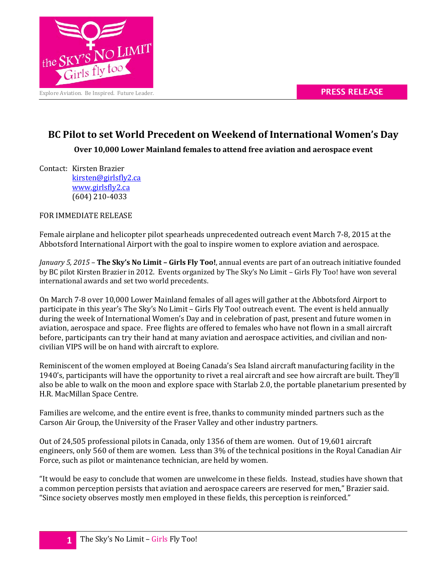

## **BC Pilot to set World Precedent on Weekend of International Women's Day**

**Over 10,000 Lower Mainland females to attend free aviation and aerospace event**

Contact: Kirsten Brazier [kirsten@girlsfly2.ca](mailto:kirsten@girlsfly2.ca) [www.girlsfly2.ca](http://www.girlsfly2.ca/) (604) 210-4033

FOR IMMEDIATE RELEASE

Female airplane and helicopter pilot spearheads unprecedented outreach event March 7-8, 2015 at the Abbotsford International Airport with the goal to inspire women to explore aviation and aerospace.

*January 5, 2015* – **The Sky's No Limit – Girls Fly Too!**, annual events are part of an outreach initiative founded by BC pilot Kirsten Brazier in 2012. Events organized by The Sky's No Limit – Girls Fly Too! have won several international awards and set two world precedents.

On March 7-8 over 10,000 Lower Mainland females of all ages will gather at the Abbotsford Airport to participate in this year's The Sky's No Limit – Girls Fly Too! outreach event. The event is held annually during the week of International Women's Day and in celebration of past, present and future women in aviation, aerospace and space. Free flights are offered to females who have not flown in a small aircraft before, participants can try their hand at many aviation and aerospace activities, and civilian and noncivilian VIPS will be on hand with aircraft to explore.

Reminiscent of the women employed at Boeing Canada's Sea Island aircraft manufacturing facility in the 1940's, participants will have the opportunity to rivet a real aircraft and see how aircraft are built. They'll also be able to walk on the moon and explore space with Starlab 2.0, the portable planetarium presented by H.R. MacMillan Space Centre.

Families are welcome, and the entire event is free, thanks to community minded partners such as the Carson Air Group, the University of the Fraser Valley and other industry partners.

Out of 24,505 professional pilots in Canada, only 1356 of them are women. Out of 19,601 aircraft engineers, only 560 of them are women. Less than 3% of the technical positions in the Royal Canadian Air Force, such as pilot or maintenance technician, are held by women.

"It would be easy to conclude that women are unwelcome in these fields. Instead, studies have shown that a common perception persists that aviation and aerospace careers are reserved for men," Brazier said. "Since society observes mostly men employed in these fields, this perception is reinforced."